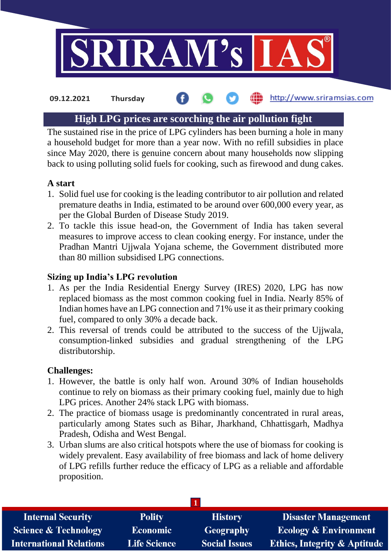

#### http://www.sriramsias.com **09.12.2021 Thursday**

# **High LPG prices are scorching the air pollution fight**

The sustained rise in the price of LPG cylinders has been burning a hole in many a household budget for more than a year now. With no refill subsidies in place since May 2020, there is genuine concern about many households now slipping back to using polluting solid fuels for cooking, such as firewood and dung cakes.

## **A start**

- 1. Solid fuel use for cooking is the leading contributor to air pollution and related premature deaths in India, estimated to be around over 600,000 every year, as per the Global Burden of Disease Study 2019.
- 2. To tackle this issue head-on, the Government of India has taken several measures to improve access to clean cooking energy. For instance, under the Pradhan Mantri Ujjwala Yojana scheme, the Government distributed more than 80 million subsidised LPG connections.

### **Sizing up India's LPG revolution**

- 1. As per the India Residential Energy Survey (IRES) 2020, LPG has now replaced biomass as the most common cooking fuel in India. Nearly 85% of Indian homes have an LPG connection and 71% use it as their primary cooking fuel, compared to only 30% a decade back.
- 2. This reversal of trends could be attributed to the success of the Ujjwala, consumption-linked subsidies and gradual strengthening of the LPG distributorship.

#### **Challenges:**

- 1. However, the battle is only half won. Around 30% of Indian households continue to rely on biomass as their primary cooking fuel, mainly due to high LPG prices. Another 24% stack LPG with biomass.
- 2. The practice of biomass usage is predominantly concentrated in rural areas, particularly among States such as Bihar, Jharkhand, Chhattisgarh, Madhya Pradesh, Odisha and West Bengal.
- 3. Urban slums are also critical hotspots where the use of biomass for cooking is widely prevalent. Easy availability of free biomass and lack of home delivery of LPG refills further reduce the efficacy of LPG as a reliable and affordable proposition.

| <b>Internal Security</b>        | <b>Polity</b>       | <b>History</b>       | <b>Disaster Management</b>              |  |  |
|---------------------------------|---------------------|----------------------|-----------------------------------------|--|--|
| <b>Science &amp; Technology</b> | <b>Economic</b>     | Geography            | <b>Ecology &amp; Environment</b>        |  |  |
| <b>International Relations</b>  | <b>Life Science</b> | <b>Social Issues</b> | <b>Ethics, Integrity &amp; Aptitude</b> |  |  |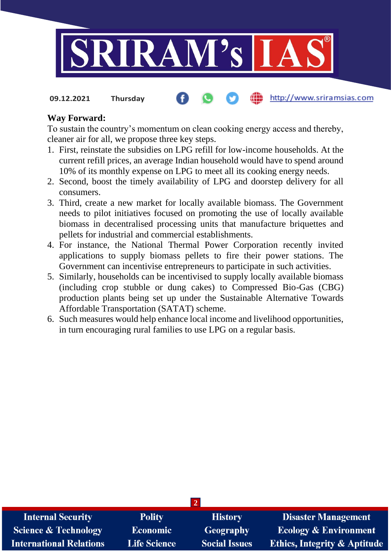

http://www.sriramsias.com **09.12.2021 Thursday**

#### **Way Forward:**

To sustain the country's momentum on clean cooking energy access and thereby, cleaner air for all, we propose three key steps.

- 1. First, reinstate the subsidies on LPG refill for low-income households. At the current refill prices, an average Indian household would have to spend around 10% of its monthly expense on LPG to meet all its cooking energy needs.
- 2. Second, boost the timely availability of LPG and doorstep delivery for all consumers.
- 3. Third, create a new market for locally available biomass. The Government needs to pilot initiatives focused on promoting the use of locally available biomass in decentralised processing units that manufacture briquettes and pellets for industrial and commercial establishments.
- 4. For instance, the National Thermal Power Corporation recently invited applications to supply biomass pellets to fire their power stations. The Government can incentivise entrepreneurs to participate in such activities.
- 5. Similarly, households can be incentivised to supply locally available biomass (including crop stubble or dung cakes) to Compressed Bio-Gas (CBG) production plants being set up under the Sustainable Alternative Towards Affordable Transportation (SATAT) scheme.
- 6. Such measures would help enhance local income and livelihood opportunities, in turn encouraging rural families to use LPG on a regular basis.

| <b>Internal Security</b>        | <b>Polity</b>       | <b>History</b>       | <b>Disaster Management</b>              |
|---------------------------------|---------------------|----------------------|-----------------------------------------|
| <b>Science &amp; Technology</b> | <b>Economic</b>     | <b>Geography</b>     | <b>Ecology &amp; Environment</b>        |
| International Relations         | <b>Life Science</b> | <b>Social Issues</b> | <b>Ethics, Integrity &amp; Aptitude</b> |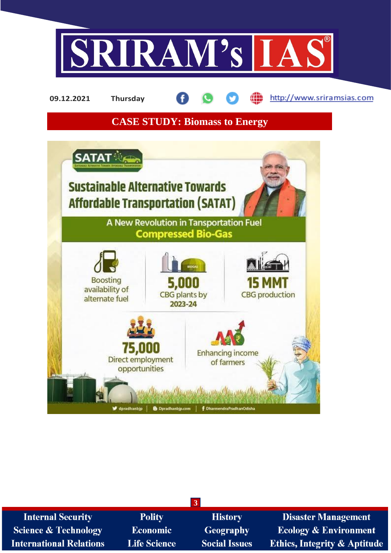

æ http://www.sriramsias.com **09.12.2021 Thursday**

**CASE STUDY: Biomass to Energy**



| <b>Internal Security</b>        | <b>Polity</b>       | <b>History</b>       | <b>Disaster Management</b>              |  |  |  |
|---------------------------------|---------------------|----------------------|-----------------------------------------|--|--|--|
| <b>Science &amp; Technology</b> | <b>Economic</b>     | <b>Geography</b>     | <b>Ecology &amp; Environment</b>        |  |  |  |
| <b>International Relations</b>  | <b>Life Science</b> | <b>Social Issues</b> | <b>Ethics, Integrity &amp; Aptitude</b> |  |  |  |